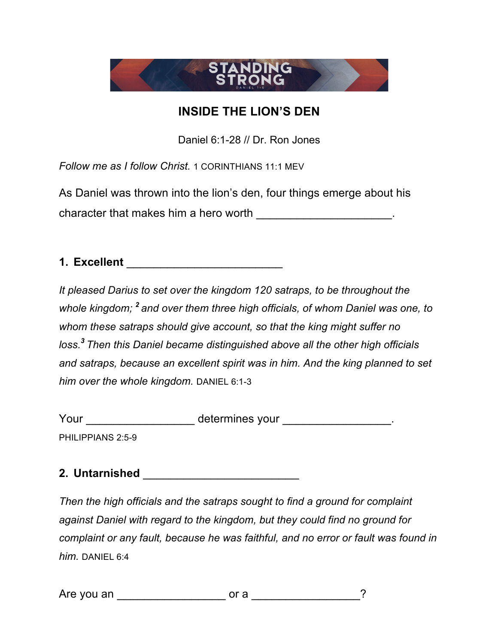

## **INSIDE THE LION'S DEN**

Daniel 6:1-28 // Dr. Ron Jones

*Follow me as I follow Christ.* 1 CORINTHIANS 11:1 MEV

As Daniel was thrown into the lion's den, four things emerge about his character that makes him a hero worth \_\_\_\_\_\_\_\_\_\_\_\_\_\_\_\_\_\_\_\_.

**1. Excellent** \_\_\_\_\_\_\_\_\_\_\_\_\_\_\_\_\_\_\_\_\_\_\_

*It pleased Darius to set over the kingdom 120 satraps, to be throughout the whole kingdom; <sup>2</sup> and over them three high officials, of whom Daniel was one, to whom these satraps should give account, so that the king might suffer no loss.<sup>3</sup> Then this Daniel became distinguished above all the other high officials and satraps, because an excellent spirit was in him. And the king planned to set him over the whole kingdom.* DANIEL 6:1-3

Your \_\_\_\_\_\_\_\_\_\_\_\_\_\_\_\_\_\_\_\_\_ determines your \_\_\_\_\_\_\_\_\_\_\_\_\_\_\_\_\_\_\_.

PHILIPPIANS 2:5-9

**2. Untarnished** \_\_\_\_\_\_\_\_\_\_\_\_\_\_\_\_\_\_\_\_\_\_\_

*Then the high officials and the satraps sought to find a ground for complaint against Daniel with regard to the kingdom, but they could find no ground for complaint or any fault, because he was faithful, and no error or fault was found in him.* DANIEL 6:4